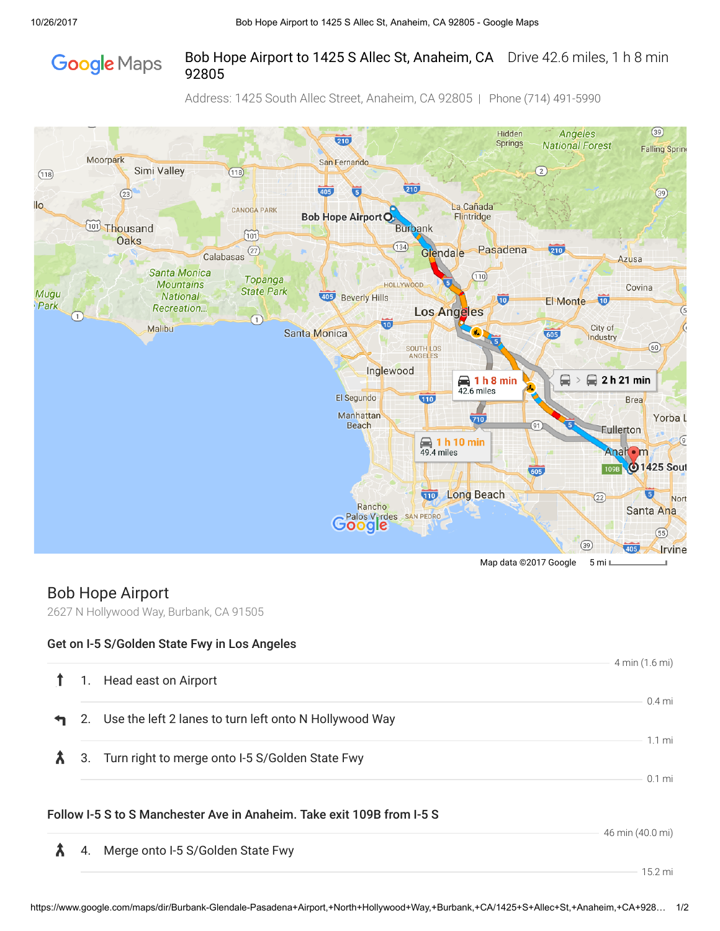## Bob Hope Airport to 1425 S Allec St, Anaheim, CA Drive 42.6 miles, 1 h 8 min **Google** Maps 92805

Address: 1425 South Allec Street, Anaheim, CA 92805 | Phone (714) 491-5990



## Bob Hope Airport

2627 N Hollywood Way, Burbank, CA 91505

## Get on I-5 S/Golden State Fwy in Los Angeles

| 1. | Head east on Airport                                                   | 4 min (1.6 mi)               |
|----|------------------------------------------------------------------------|------------------------------|
|    | 2. Use the left 2 lanes to turn left onto N Hollywood Way              | $0.4$ mi                     |
| 3. | Turn right to merge onto I-5 S/Golden State Fwy                        | $1.1 \text{ mi}$<br>$0.1$ mi |
|    | Follow I-5 S to S Manchester Ave in Anaheim. Take exit 109B from I-5 S | 46 min (40.0 mi)             |
| 4. | Merge onto I-5 S/Golden State Fwy                                      |                              |
|    |                                                                        | $15.2 \,\mathrm{mi}$         |